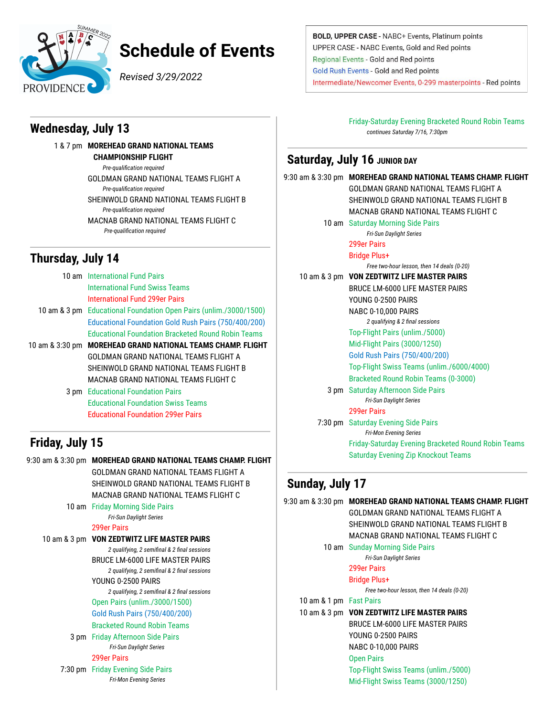

# **Schedule of Events**

*Revised 3/29/2022*

#### **Wednesday, July 13**

1 & 7 pm **MOREHEAD GRAND NATIONAL TEAMS CHAMPIONSHIP FLIGHT** *Pre-qualification required* GOLDMAN GRAND NATIONAL TEAMS FLIGHT A *Pre-qualification required* SHEINWOLD GRAND NATIONAL TEAMS FLIGHT B *Pre-qualification required* MACNAB GRAND NATIONAL TEAMS FLIGHT C *Pre-qualification required*

#### **Thursday, July 14**

| 10 am International Fund Pairs |                                                                   |
|--------------------------------|-------------------------------------------------------------------|
|                                | <b>International Fund Swiss Teams</b>                             |
|                                | International Fund 299er Pairs                                    |
|                                | 10 am & 3 pm Educational Foundation Open Pairs (unlim./3000/1500) |
|                                | Educational Foundation Gold Rush Pairs (750/400/200)              |
|                                | <b>Educational Foundation Bracketed Round Robin Teams</b>         |
| 10 am & 3:30 pm                | <b>MOREHEAD GRAND NATIONAL TEAMS CHAMP. FLIGHT</b>                |
|                                | GOI DMAN GRAND NATIONAL TFAMS FLIGHT A                            |
|                                | SHEINWOLD GRAND NATIONAL TEAMS FLIGHT B                           |
|                                | MACNAB GRAND NATIONAL TEAMS FLIGHT C                              |
|                                | <b>3 pm</b> Educational Foundation Pairs                          |
|                                | <b>Educational Foundation Swiss Teams</b>                         |
|                                | <b>Educational Foundation 299er Pairs</b>                         |

# **Friday, July 15**

9:30 am & 3:30 pm **MOREHEAD GRAND NATIONAL TEAMS CHAMP. FLIGHT** GOLDMAN GRAND NATIONAL TEAMS FLIGHT A SHEINWOLD GRAND NATIONAL TEAMS FLIGHT B MACNAB GRAND NATIONAL TEAMS FLIGHT C 10 am Friday Morning Side Pairs *Fri-Sun Daylight Series* 299er Pairs 10 am & 3 pm **VON ZEDTWITZ LIFE MASTER PAIRS** *2 qualifying, 2 semifinal & 2 final sessions* BRUCE LM-6000 LIFE MASTER PAIRS *2 qualifying, 2 semifinal & 2 final sessions* YOUNG 0-2500 PAIRS *2 qualifying, 2 semifinal & 2 final sessions* Open Pairs (unlim./3000/1500) Gold Rush Pairs (750/400/200) Bracketed Round Robin Teams 3 pm Friday Afternoon Side Pairs *Fri-Sun Daylight Series* 299er Pairs 7:30 pm Friday Evening Side Pairs *Fri-Mon Evening Series*

BOLD, UPPER CASE - NABC+ Events, Platinum points UPPER CASE - NABC Events, Gold and Red points Regional Events - Gold and Red points **Gold Rush Events - Gold and Red points** Intermediate/Newcomer Events, 0-299 masterpoints - Red points

> Friday-Saturday Evening Bracketed Round Robin Teams *continues Saturday 7/16, 7:30pm*

#### **Saturday, July 16 JUNIOR DAY**

|      | 9:30 am & 3:30 pm MOREHEAD GRAND NATIONAL TEAMS CHAMP. FLIGHT |  |
|------|---------------------------------------------------------------|--|
|      | GOI DMAN GRAND NATIONAL TFAMS FLIGHT A                        |  |
|      | SHEINWOLD GRAND NATIONAL TEAMS FLIGHT B                       |  |
|      | MACNAB GRAND NATIONAL TFAMS FLIGHT C                          |  |
|      | 10 am Saturday Morning Side Pairs                             |  |
|      | Fri-Sun Daylight Series                                       |  |
|      | 299er Pairs                                                   |  |
|      | Bridge Plus+                                                  |  |
|      | Free two-hour lesson, then 14 deals (0-20)                    |  |
|      | 10 am & 3 pm VON ZEDTWITZ LIFE MASTER PAIRS                   |  |
|      | BRUCE LM-6000 LIFE MASTER PAIRS                               |  |
|      | YOUNG 0-2500 PAIRS                                            |  |
|      | <b>NABC 0-10,000 PAIRS</b>                                    |  |
|      | 2 qualifying & 2 final sessions                               |  |
|      | Top-Flight Pairs (unlim./5000)                                |  |
|      | Mid-Flight Pairs (3000/1250)                                  |  |
|      | Gold Rush Pairs (750/400/200)                                 |  |
|      | Top-Flight Swiss Teams (unlim./6000/4000)                     |  |
|      | <b>Bracketed Round Robin Teams (0-3000)</b>                   |  |
| 3 pm | <b>Saturday Afternoon Side Pairs</b>                          |  |
|      | Fri-Sun Daylight Series                                       |  |
|      | 299er Pairs                                                   |  |
|      | 7:30 pm Saturday Evening Side Pairs                           |  |
|      | <b>Fri-Mon Evening Series</b>                                 |  |
|      | Friday-Saturday Evening Bracketed Round Robin Teams           |  |
|      | <b>Saturday Evening Zip Knockout Teams</b>                    |  |
|      |                                                               |  |

## **Sunday, July 17**

|                         | 9:30 am & 3:30 pm MOREHEAD GRAND NATIONAL TEAMS CHAMP. FLIGHT |
|-------------------------|---------------------------------------------------------------|
|                         | GOLDMAN GRAND NATIONAL TEAMS FLIGHT A                         |
|                         | SHEINWOLD GRAND NATIONAL TEAMS FLIGHT B                       |
|                         | MACNAB GRAND NATIONAL TEAMS FLIGHT C                          |
|                         | 10 am Sunday Morning Side Pairs                               |
|                         | Fri-Sun Daylight Series                                       |
|                         | 299er Pairs                                                   |
|                         | Bridge Plus+                                                  |
|                         | Free two-hour lesson, then 14 deals (0-20)                    |
| 10 am & 1 pm Fast Pairs |                                                               |
|                         | 10 am & 3 pm VON ZEDTWITZ LIFE MASTER PAIRS                   |
|                         | <b>BRUCE LM-6000 LIFE MASTER PAIRS</b>                        |
|                         | YOUNG 0-2500 PAIRS                                            |
|                         | NABC 0-10,000 PAIRS                                           |
|                         | <b>Open Pairs</b>                                             |
|                         | Top-Flight Swiss Teams (unlim./5000)                          |
|                         | Mid-Flight Swiss Teams (3000/1250)                            |
|                         |                                                               |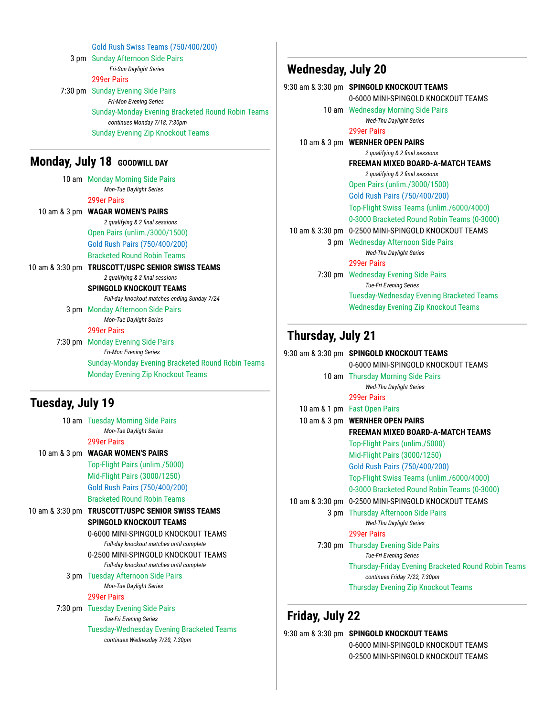Gold Rush Swiss Teams (750/400/200) 3 pm Sunday Afternoon Side Pairs *Fri-Sun Daylight Series* 299er Pairs 7:30 pm Sunday Evening Side Pairs *Fri-Mon Evening Series* Sunday-Monday Evening Bracketed Round Robin Teams *continues Monday 7/18, 7:30pm* Sunday Evening Zip Knockout Teams

## **Monday, July 18 GOODWILL DAY**

| 10 am Monday Morning Side Pairs                   |
|---------------------------------------------------|
| <b>Mon-Tue Daylight Series</b>                    |
| 299er Pairs                                       |
| 10 am & 3 pm WAGAR WOMEN'S PAIRS                  |
| 2 qualifying & 2 final sessions                   |
| Open Pairs (unlim./3000/1500)                     |
| Gold Rush Pairs (750/400/200)                     |
| <b>Bracketed Round Robin Teams</b>                |
| 10 am & 3:30 pm TRUSCOTT/USPC SENIOR SWISS TEAMS  |
| 2 qualifying & 2 final sessions                   |
| SPINGOLD KNOCKOUT TEAMS                           |
| Full-day knockout matches ending Sunday 7/24      |
| 3 pm Monday Afternoon Side Pairs                  |
| <b>Mon-Tue Daylight Series</b>                    |
| <b>299er Pairs</b>                                |
| 7:30 pm Monday Evening Side Pairs                 |
| <b>Fri-Mon Evening Series</b>                     |
| Sunday-Monday Evening Bracketed Round Robin Teams |
| <b>Monday Evening Zip Knockout Teams</b>          |
|                                                   |

## **Tuesday, July 19**

| 10 am Tuesday Morning Side Pairs                 |
|--------------------------------------------------|
| <b>Mon-Tue Daylight Series</b>                   |
| 299er Pairs                                      |
| 10 am & 3 pm WAGAR WOMEN'S PAIRS                 |
| Top-Flight Pairs (unlim./5000)                   |
| Mid-Flight Pairs (3000/1250)                     |
| Gold Rush Pairs (750/400/200)                    |
| <b>Bracketed Round Robin Teams</b>               |
| 10 am & 3:30 pm TRUSCOTT/USPC SENIOR SWISS TEAMS |
| SPINGOLD KNOCKOUT TEAMS                          |
| 0-6000 MINI-SPINGOLD KNOCKOUT TFAMS              |
| Full-day knockout matches until complete         |
| 0-2500 MINI-SPINGOLD KNOCKOUT TFAMS              |
| Full-day knockout matches until complete         |
| <b>3 pm</b> Tuesday Afternoon Side Pairs         |
| <b>Mon-Tue Daylight Series</b>                   |
| 299er Pairs                                      |
| 7:30 pm Tuesday Evening Side Pairs               |
| <b>Tue-Fri Evening Series</b>                    |
| Tuesday-Wednesday Evening Bracketed Teams        |
| continues Wednesday 7/20, 7:30pm                 |
|                                                  |

## **Wednesday, July 20**

|                          | 9:30 am & 3:30 pm  SPINGOLD KNOCKOUT TEAMS                            |
|--------------------------|-----------------------------------------------------------------------|
|                          | 0-6000 MINI-SPINGOLD KNOCKOUT TFAMS                                   |
|                          | 10 am Wednesday Morning Side Pairs<br><b>Wed-Thu Daylight Series</b>  |
|                          | 299er Pairs                                                           |
|                          | 10 am & 3 pm WERNHER OPEN PAIRS                                       |
|                          | 2 qualifying & 2 final sessions                                       |
|                          | <b>FREEMAN MIXED BOARD-A-MATCH TEAMS</b>                              |
|                          | 2 qualifying & 2 final sessions                                       |
|                          | Open Pairs (unlim./3000/1500)                                         |
|                          | Gold Rush Pairs (750/400/200)                                         |
|                          | Top-Flight Swiss Teams (unlim./6000/4000)                             |
|                          | 0-3000 Bracketed Round Robin Teams (0-3000)                           |
|                          | 10 am & 3:30 pm 0-2500 MINI-SPINGOLD KNOCKOUT TEAMS                   |
|                          | 3 pm Wednesday Afternoon Side Pairs                                   |
|                          | <b>Wed-Thu Daylight Series</b>                                        |
|                          | 299er Pairs                                                           |
|                          | 7:30 pm Wednesday Evening Side Pairs<br><b>Tue-Fri Evening Series</b> |
|                          | Tuesday-Wednesday Evening Bracketed Teams                             |
|                          | <b>Wednesday Evening Zip Knockout Teams</b>                           |
| <b>Thursday, July 21</b> |                                                                       |

| 9:30 am & 3:30 pm SPINGOLD KNOCKOUT TEAMS                                            |
|--------------------------------------------------------------------------------------|
| 0-6000 MINI-SPINGOLD KNOCKOUT TFAMS                                                  |
| 10 am Thursday Morning Side Pairs<br><b>Wed-Thu Daylight Series</b>                  |
| 299er Pairs                                                                          |
| 10 am & 1 pm Fast Open Pairs                                                         |
| 10 am & 3 pm WERNHER OPEN PAIRS                                                      |
| FREEMAN MIXED BOARD-A-MATCH TEAMS                                                    |
| Top-Flight Pairs (unlim./5000)                                                       |
| Mid-Flight Pairs (3000/1250)                                                         |
| Gold Rush Pairs (750/400/200)                                                        |
| Top-Flight Swiss Teams (unlim./6000/4000)                                            |
| 0-3000 Bracketed Round Robin Teams (0-3000)                                          |
| 10 am & 3:30 pm 0-2500 MINI-SPINGOLD KNOCKOUT TEAMS                                  |
| 3 pm Thursday Afternoon Side Pairs                                                   |
| <b>Wed-Thu Daylight Series</b>                                                       |
| 299er Pairs                                                                          |
| 7:30 pm Thursday Evening Side Pairs                                                  |
| <b>Tue-Fri Evening Series</b>                                                        |
| Thursday-Friday Evening Bracketed Round Robin Teams<br>continues Friday 7/22, 7:30pm |
| <b>Thursday Evening Zip Knockout Teams</b>                                           |
|                                                                                      |

# **Friday, July 22**

| 9:30 am & 3:30 pm SPINGOLD KNOCKOUT TEAMS |
|-------------------------------------------|
| 0-6000 MINI-SPINGOLD KNOCKOUT TEAMS       |
| 0-2500 MINI-SPINGOLD KNOCKOUT TEAMS       |